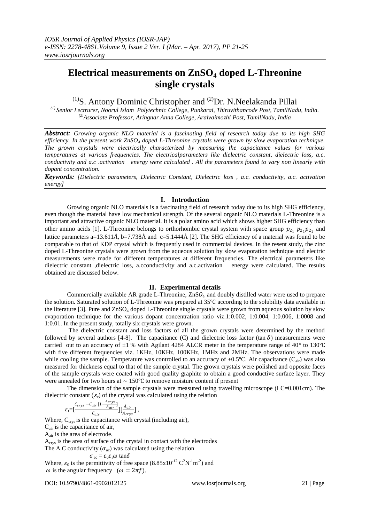# **Electrical measurements on ZnSO<sup>4</sup> doped L-Threonine single crystals**

 $(1)$ S. Antony Dominic Christopher and  $(2)$ Dr. N.Neelakanda Pillai

*(1) Senior Lectrurer, Noorul Islam Polytechnic College, Punkarai, Thiruvithancode Post, TamilNadu, India. (2)Associate Professor, Aringnar Anna College, Aralvaimozhi Post, TamilNadu, India*

*Abstract: Growing organic NLO material is a fascinating field of research today due to its high SHG efficiency. In the present work ZnSO<sup>4</sup> doped L-Threonine crystals were grown by slow evaporation technique. The grown crystals were electrically characterized by measuring the capacitance values for various temperatures at various frequencies. The electricalparameters like dielectric constant, dielectric loss, a.c. conductivity and a.c .activation energy were calculated . All the parameters found to vary non linearly with dopant concentration.*

*Keywords: [Dielectric parameters, Dielectric Constant, Dielectric loss , a.c. conductivity, a.c. activation energy]*

# **I. Introduction**

Growing organic NLO materials is a fascinating field of research today due to its high SHG efficiency, even though the material have low mechanical strength. Of the several organic NLO materials L-Threonine is a important and attractive organic NLO material. It is a polar amino acid which shows higher SHG efficiency than other amino acids [1]. L-Threonine belongs to orthorhombic crystal system with space group  $p_{2_1}$   $p_{2_1}p_{2_1}$  and lattice parameters a=13.611 $\AA$ , b=7.738 $\AA$  and c=5.1444 $\AA$  [2]. The SHG efficiency of a material was found to be comparable to that of KDP crystal which is frequently used in commercial devices. In the resent study, the zinc doped L-Threonine crystals were grown from the aqueous solution by slow evaporation technique and electric measurements were made for different temperatures at different frequencies. The electrical parameters like dielectric constant ,dielectric loss, a.cconductivity and a.c.activation energy were calculated. The results obtained are discussed below.

# **II. Experimental details**

Commercially available AR grade L-Threonine,  $ZnSO_4$  and doubly distilled water were used to prepare the solution. Saturated solution of L-Threonine was prepared at 35℃ according to the solubility data available in the literature [3]. Pure and  $ZnSO_4$  doped L-Threonine single crystals were grown from aqueous solution by slow evaporation technique for the various dopant concentration ratio viz.1:0.002, 1:0.004, 1:0.006, 1:0008 and 1:0.01. In the present study, totally six crystals were grown.

The dielectric constant and loss factors of all the grown crystals were determined by the method followed by several authors [4-8]. The capacitance (C) and dielectric loss factor (tan  $\delta$ ) measurements were carried out to an accuracy of  $\pm 1$  % with Agilant 4284 ALCR meter in the temperature range of 40<sup>°</sup> to 130<sup>°</sup>C with five different frequencies viz. 1KHz, 10KHz, 100KHz, 1MHz and 2MHz. The observations were made while cooling the sample. Temperature was controlled to an accuracy of  $\pm 0.5^{\circ}$ C. Air capacitance (C<sub>air</sub>) was also measured for thickness equal to that of the sample crystal. The grown crystals were polished and opposite faces of the sample crystals were coated with good quality graphite to obtain a good conductive surface layer. They were annealed for two hours at  $\sim 150^{\circ}$ C to remove moisture content if present

The dimension of the sample crystals were measured using travelling microscope (LC=0.001cm). The dielectric constant  $(\varepsilon_r)$  of the crystal was calculated using the relation

$$
\varepsilon_{\rm r} = \left[\frac{C_{crys} - C_{air} \left[1 - \frac{Acrys}{A_{air}}\right]}{C_{air}}\right] \left[\frac{A_{air}}{A_{crys}}\right] \,,
$$

Where,  $C_{\text{crys}}$  is the capacitance with crystal (including air),

Cair is the capacitance of air,

Aair is the area of electrode.

Acrys is the area of surface of the crystal in contact with the electrodes

The A.C conductivity ( $\sigma_{ac}$ ) was calculated using the relation  $\sigma_{\rm ac} = \varepsilon_0 \varepsilon_{\rm r} \omega$ tan $\delta$ 

Where,  $\varepsilon_0$  is the permittivity of free space  $(8.85 \times 10^{-12} \text{ C}^2 \text{N}^{-1} \text{m}^{-2})$  and  $\omega$  is the angular frequency ( $\omega = 2\pi f$ ),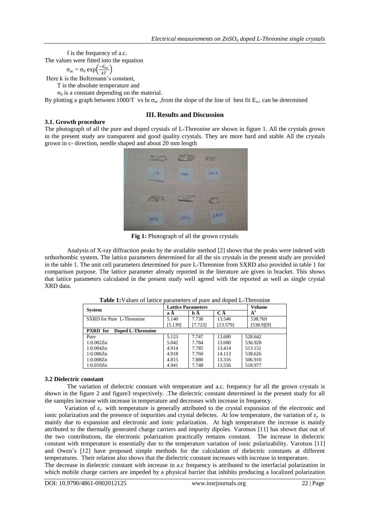f is the frequency of a.c.

The values were fitted into the equation

$$
\sigma_{ac} = \sigma_0 \exp\left(\frac{-E_{ac}}{kT}\right)
$$

Here k is the Boltzmann's constant,

T is the absolute temperature and

 $σ<sub>0</sub>$  is a constant depending on the material.

By plotting a graph between 1000/T vs ln  $\sigma_{ac}$ , from the slope of the line of best fit  $E_{ac}$  can be determined

# **III. Results and Discussion**

**3.1. Growth procedure** The photograph of all the pure and doped crystals of L-Threonine are shown in figure 1. All the crystals grown in the present study are transparent and good quality crystals. They are more hard and stable All the crystals grown in c- direction, needle shaped and about 20 mm length



**Fig 1:** Photograph of all the grown crystals

Analysis of X-ray diffraction peaks by the available method [2] shows that the peaks were indexed with orthorhombic system. The lattice parameters determined for all the six crystals in the present study are provided in the table 1. The unit cell parameters determined for pure L-Threonine from SXRD also provided in table 1 for comparison purpose. The lattice parameter already reported in the literature are given in bracket. This shows that lattice parameters calculated in the present study well agreed with the reported as well as single crystal XRD data.

| <b>System</b>                        | <b>Lattice Parameters</b> |         |          | <b>Volume</b> |
|--------------------------------------|---------------------------|---------|----------|---------------|
|                                      | aА                        | b A     | СÅ       | $\AA^3$       |
| SXRD for Pure L-Threonine            | 5.140                     | 7.738   | 13.546   | 538.769       |
|                                      | [5.139]                   | [7.723] | [13.579] | [538.9][9]    |
| Doped L-Threonine<br><b>PXRD</b> for |                           |         |          |               |
| Pure                                 | 5.123                     | 7.747   | 13.680   | 528.642       |
| 1:0.002Zn                            | 5.042                     | 7.784   | 13.680   | 536.928       |
| 1:0.004Zn                            | 4.914                     | 7.785   | 13.414   | 513.151       |
| 1:0.006Zn                            | 4.918                     | 7.760   | 14.113   | 538.626       |
| 1:0.008Zn                            | 4.815                     | 7.880   | 13.316   | 506.910       |
| 1:0.010Zn                            | 4.941                     | 7.748   | 13.556   | 518.977       |

**Table 1:**Values of lattice parameters of pure and doped L-Threonine

# **3.2 Dielectric constant**

The variation of dielectric constant with temperature and a.c. frequency for all the grown crystals is shown in the figure 2 and figure3 respectively. .The dielectric constant determined in the present study for all the samples increase with increase in temperature and decreases with increase in frequency.

Variation of  $\varepsilon_r$  with temperature is generally attributed to the crystal expansion of the electronic and ionic polarization and the presence of impurities and crystal defectes. At low temperature, the variation of  $\varepsilon_r$  is mainly due to expansion and electronic and ionic polarization. At high temperature the increase is mainly attributed to the thermally generated charge carriers and impurity dipoles. Varotsos [11] has shown that out of the two contributions, the electronic polarization practically remains constant. The increase in dielectric constant with temperature is essentially due to the temperature variation of ionic polarizability. Varotsos [11] and Owen's [12] have proposed simple methods for the calculation of dielectric constants at different temperatures. Their relation also shows that the dielectric constant increases with increase in temperature.

The decrease in dielectric constant with increase in a.c frequency is attributed to the interfacial polarization in which mobile charge carriers are impeded by a physical barrier that inhibits producing a localized polarization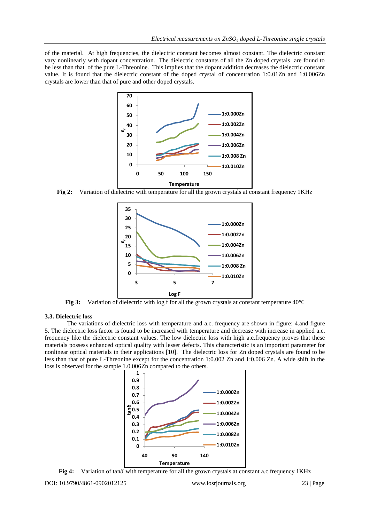of the material. At high frequencies, the dielectric constant becomes almost constant. The dielectric constant vary nonlinearly with dopant concentration. The dielectric constants of all the Zn doped crystals are found to be less than that of the pure L-Threonine. This implies that the dopant addition decreases the dielectric constant value. It is found that the dielectric constant of the doped crystal of concentration 1:0.01Zn and 1:0.006Zn crystals are lower than that of pure and other doped crystals.



**Fig 2:** Variation of dielectric with temperature for all the grown crystals at constant frequency 1KHz



**Fig 3:** Variation of dielectric with log f for all the grown crystals at constant temperature 40℃

#### **3.3. Dielectric loss**

The variations of dielectric loss with temperature and a.c. frequency are shown in figure: 4.and figure 5. The dielectric loss factor is found to be increased with temperature and decrease with increase in applied a.c. frequency like the dielectric constant values. The low dielectric loss with high a.c.frequency proves that these materials possess enhanced optical quality with lesser defects. This characteristic is an important parameter for nonlinear optical materials in their applications [10]. The dielectric loss for Zn doped crystals are found to be less than that of pure L-Threonine except for the concentration 1:0.002 Zn and 1:0.006 Zn. A wide shift in the loss is observed for the sample 1.0.006Zn compared to the others.



**Fig 4:** Variation of tand with temperature for all the grown crystals at constant a.c. frequency 1KHz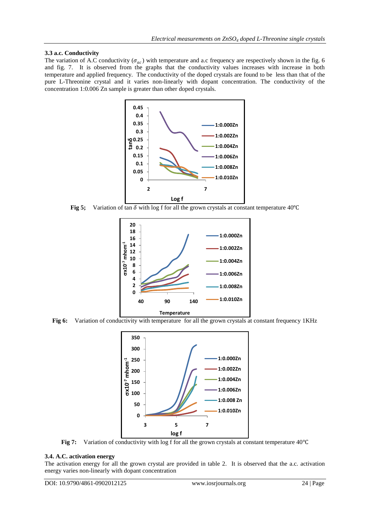# **3.3 a.c. Conductivity**

The variation of A.C conductivity ( $\sigma_{ac}$ ) with temperature and a.c frequency are respectively shown in the fig. 6 and fig. 7. It is observed from the graphs that the conductivity values increases with increase in both temperature and applied frequency. The conductivity of the doped crystals are found to be less than that of the pure L-Threonine crystal and it varies non-linearly with dopant concentration. The conductivity of the concentration 1:0.006 Zn sample is greater than other doped crystals.



**Fig 5;** Variation of tan  $\delta$  with log f for all the grown crystals at constant temperature 40°C



**Fig 6:** Variation of conductivity with temperature for all the grown crystals at constant frequency 1KHz



**Fig 7:** Variation of conductivity with log f for all the grown crystals at constant temperature 40℃

# **3.4. A.C. activation energy**

The activation energy for all the grown crystal are provided in table 2. It is observed that the a.c. activation energy varies non-linearly with dopant concentration